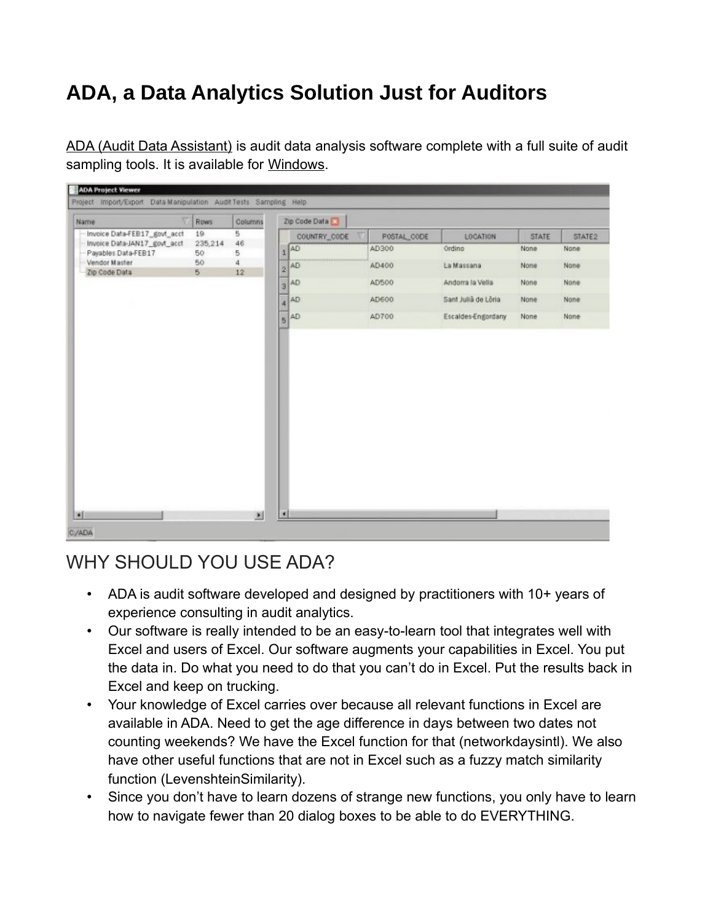# **ADA, a Data Analytics Solution Just for Auditors**

[ADA \(Audit Data Assistant\)](https://auditdataanalytics.net/product/ada-windows) is audit data analysis software complete with a full suite of audit sampling tools. It is available for [Windows](https://auditdataanalytics.net/product/ada-windows).

| W<br><b>Name</b>                                                                                                      | <b>Rows</b>                    | Columns                              |        | Zip Code Data                                                                  |                                                          |                                                                                                         |                                                      |                                                 |
|-----------------------------------------------------------------------------------------------------------------------|--------------------------------|--------------------------------------|--------|--------------------------------------------------------------------------------|----------------------------------------------------------|---------------------------------------------------------------------------------------------------------|------------------------------------------------------|-------------------------------------------------|
| Invoice Data-FEB17_govt_acct<br>Invoice Data-JAN17_govt_acct<br>Payables Data-FEB17<br>Vendor Master<br>Zip Code Data | 19<br>235,214<br>50<br>50<br>5 | 5<br>46<br>5<br>$\overline{A}$<br>12 | 3<br>ä | COUNTRY_CODE<br>$\frac{1}{4}$ $AD$<br>$2^{AD}$<br>AD<br>AD<br>$\frac{1}{5}$ AD | POSTAL_CODE<br>AD300<br>AD400<br>AD500<br>AD600<br>AD700 | <b>LOCATION</b><br>Ordino<br>La Massana<br>Andoma la Vella<br>Sant Julià de Lôria<br>Escaldes-Engordany | <b>STATE</b><br>None<br>None<br>None<br>None<br>None | STATE2<br>None<br>None.<br>None<br>None<br>None |
|                                                                                                                       |                                |                                      |        |                                                                                |                                                          |                                                                                                         |                                                      |                                                 |

# WHY SHOULD YOU USE ADA?

- ADA is audit software developed and designed by practitioners with 10+ years of experience consulting in audit analytics.
- Our software is really intended to be an easy-to-learn tool that integrates well with Excel and users of Excel. Our software augments your capabilities in Excel. You put the data in. Do what you need to do that you can't do in Excel. Put the results back in Excel and keep on trucking.
- Your knowledge of Excel carries over because all relevant functions in Excel are available in ADA. Need to get the age difference in days between two dates not counting weekends? We have the Excel function for that (networkdaysintl). We also have other useful functions that are not in Excel such as a fuzzy match similarity function (LevenshteinSimilarity).
- Since you don't have to learn dozens of strange new functions, you only have to learn how to navigate fewer than 20 dialog boxes to be able to do EVERYTHING.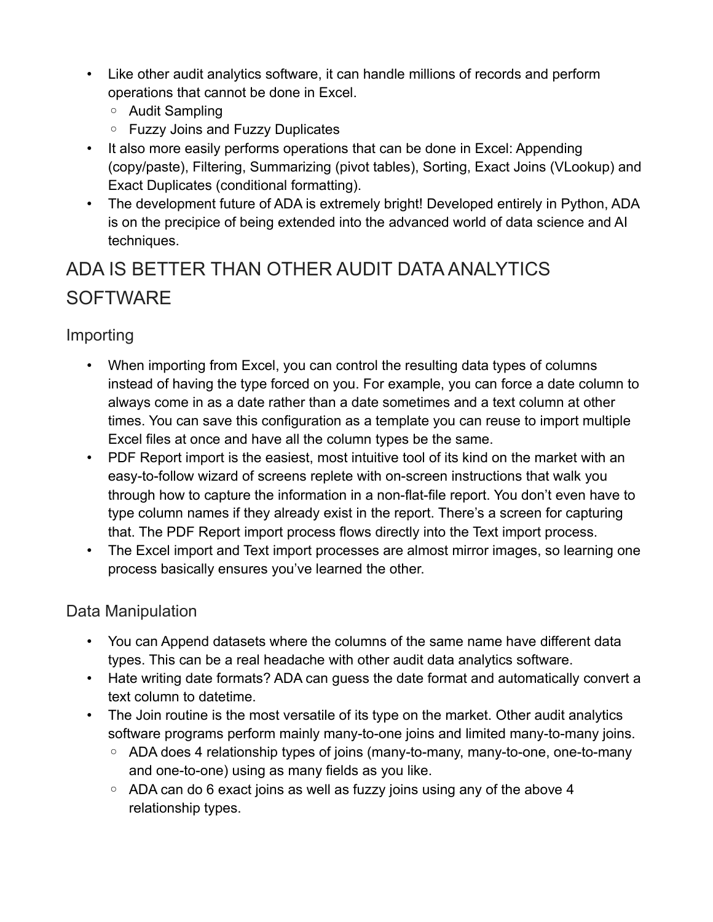- Like other audit analytics software, it can handle millions of records and perform operations that cannot be done in Excel.
	- Audit Sampling
	- Fuzzy Joins and Fuzzy Duplicates
- It also more easily performs operations that can be done in Excel: Appending (copy/paste), Filtering, Summarizing (pivot tables), Sorting, Exact Joins (VLookup) and Exact Duplicates (conditional formatting).
- The development future of ADA is extremely bright! Developed entirely in Python, ADA is on the precipice of being extended into the advanced world of data science and AI techniques.

# ADA IS BETTER THAN OTHER AUDIT DATA ANALYTICS **SOFTWARE**

#### Importing

- When importing from Excel, you can control the resulting data types of columns instead of having the type forced on you. For example, you can force a date column to always come in as a date rather than a date sometimes and a text column at other times. You can save this configuration as a template you can reuse to import multiple Excel files at once and have all the column types be the same.
- PDF Report import is the easiest, most intuitive tool of its kind on the market with an easy-to-follow wizard of screens replete with on-screen instructions that walk you through how to capture the information in a non-flat-file report. You don't even have to type column names if they already exist in the report. There's a screen for capturing that. The PDF Report import process flows directly into the Text import process.
- The Excel import and Text import processes are almost mirror images, so learning one process basically ensures you've learned the other.

#### Data Manipulation

- You can Append datasets where the columns of the same name have different data types. This can be a real headache with other audit data analytics software.
- Hate writing date formats? ADA can guess the date format and automatically convert a text column to datetime.
- The Join routine is the most versatile of its type on the market. Other audit analytics software programs perform mainly many-to-one joins and limited many-to-many joins.
	- ADA does 4 relationship types of joins (many-to-many, many-to-one, one-to-many and one-to-one) using as many fields as you like.
	- ADA can do 6 exact joins as well as fuzzy joins using any of the above 4 relationship types.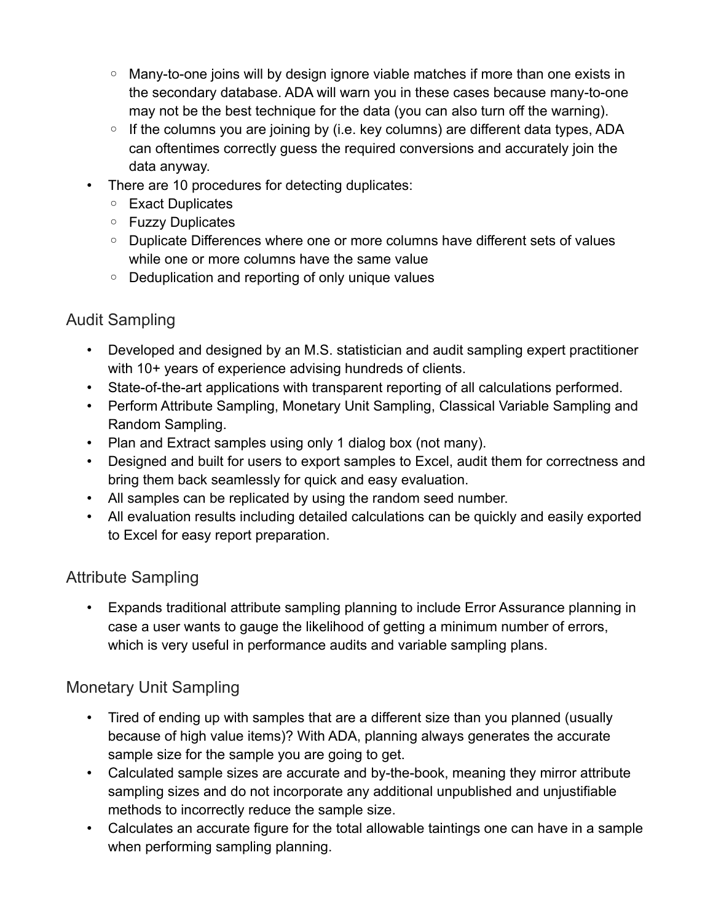- Many-to-one joins will by design ignore viable matches if more than one exists in the secondary database. ADA will warn you in these cases because many-to-one may not be the best technique for the data (you can also turn off the warning).
- If the columns you are joining by (i.e. key columns) are different data types, ADA can oftentimes correctly guess the required conversions and accurately join the data anyway.
- There are 10 procedures for detecting duplicates:
	- Exact Duplicates
	- Fuzzy Duplicates
	- Duplicate Differences where one or more columns have different sets of values while one or more columns have the same value
	- Deduplication and reporting of only unique values

## Audit Sampling

- Developed and designed by an M.S. statistician and audit sampling expert practitioner with 10+ years of experience advising hundreds of clients.
- State-of-the-art applications with transparent reporting of all calculations performed.
- Perform Attribute Sampling, Monetary Unit Sampling, Classical Variable Sampling and Random Sampling.
- Plan and Extract samples using only 1 dialog box (not many).
- Designed and built for users to export samples to Excel, audit them for correctness and bring them back seamlessly for quick and easy evaluation.
- All samples can be replicated by using the random seed number.
- All evaluation results including detailed calculations can be quickly and easily exported to Excel for easy report preparation.

## Attribute Sampling

• Expands traditional attribute sampling planning to include Error Assurance planning in case a user wants to gauge the likelihood of getting a minimum number of errors, which is very useful in performance audits and variable sampling plans.

## Monetary Unit Sampling

- Tired of ending up with samples that are a different size than you planned (usually because of high value items)? With ADA, planning always generates the accurate sample size for the sample you are going to get.
- Calculated sample sizes are accurate and by-the-book, meaning they mirror attribute sampling sizes and do not incorporate any additional unpublished and unjustifiable methods to incorrectly reduce the sample size.
- Calculates an accurate figure for the total allowable taintings one can have in a sample when performing sampling planning.